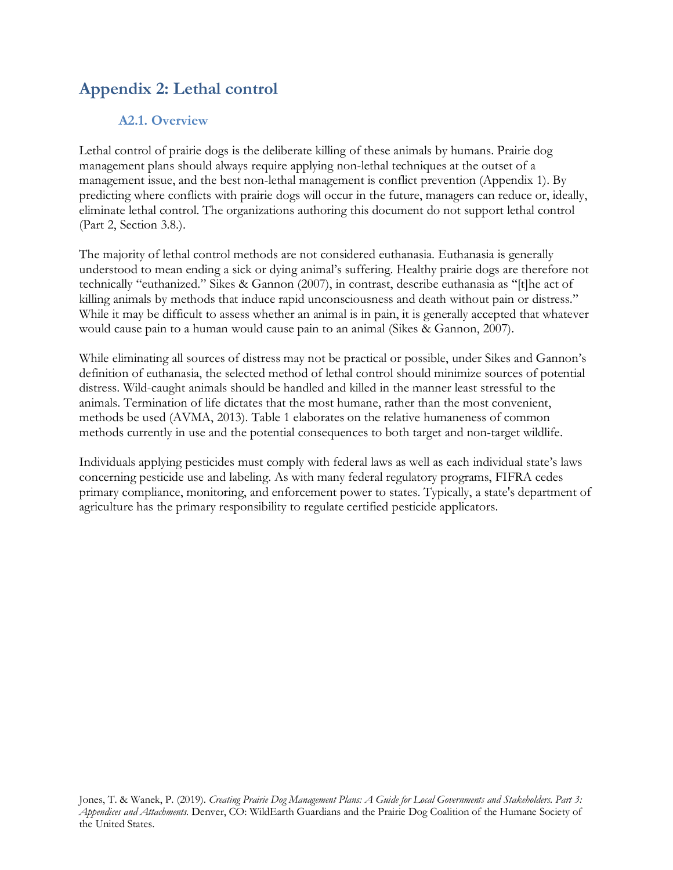# **Appendix 2: Lethal control**

## **A2.1. Overview**

Lethal control of prairie dogs is the deliberate killing of these animals by humans. Prairie dog management plans should always require applying non-lethal techniques at the outset of a management issue, and the best non-lethal management is conflict prevention (Appendix 1). By predicting where conflicts with prairie dogs will occur in the future, managers can reduce or, ideally, eliminate lethal control. The organizations authoring this document do not support lethal control (Part 2, Section 3.8.).

The majority of lethal control methods are not considered euthanasia. Euthanasia is generally understood to mean ending a sick or dying animal's suffering. Healthy prairie dogs are therefore not technically "euthanized." Sikes & Gannon (2007), in contrast, describe euthanasia as ''[t]he act of killing animals by methods that induce rapid unconsciousness and death without pain or distress.'' While it may be difficult to assess whether an animal is in pain, it is generally accepted that whatever would cause pain to a human would cause pain to an animal (Sikes & Gannon, 2007).

While eliminating all sources of distress may not be practical or possible, under Sikes and Gannon's definition of euthanasia, the selected method of lethal control should minimize sources of potential distress. Wild-caught animals should be handled and killed in the manner least stressful to the animals. Termination of life dictates that the most humane, rather than the most convenient, methods be used (AVMA, 2013). Table 1 elaborates on the relative humaneness of common methods currently in use and the potential consequences to both target and non-target wildlife.

Individuals applying pesticides must comply with federal laws as well as each individual state's laws concerning pesticide use and labeling. As with many federal regulatory programs, FIFRA cedes primary compliance, monitoring, and enforcement power to states. Typically, a state's department of agriculture has the primary responsibility to regulate certified pesticide applicators.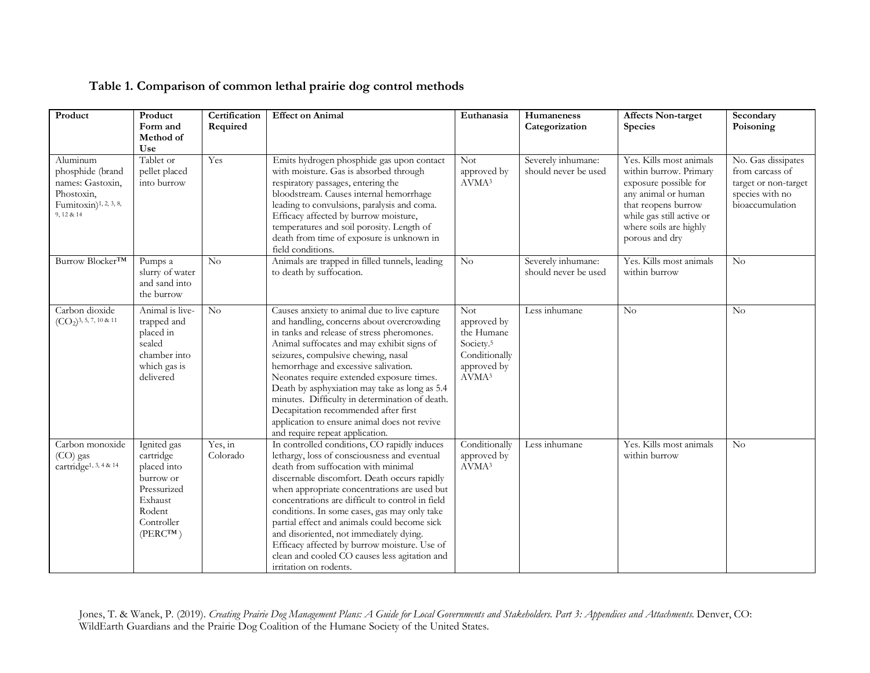| Table 1. Comparison of common lethal prairie dog control methods |  |  |
|------------------------------------------------------------------|--|--|
|                                                                  |  |  |

| Product                                                                                                           | Product<br>Form and<br>Method of<br>Use                                                                                 | Certification<br>Required | <b>Effect on Animal</b>                                                                                                                                                                                                                                                                                                                                                                                                                                                                                                                                       | Euthanasia                                                                                                            | Humaneness<br>Categorization               | <b>Affects Non-target</b><br>Species                                                                                                                                                              | Secondary<br>Poisoning                                                                              |
|-------------------------------------------------------------------------------------------------------------------|-------------------------------------------------------------------------------------------------------------------------|---------------------------|---------------------------------------------------------------------------------------------------------------------------------------------------------------------------------------------------------------------------------------------------------------------------------------------------------------------------------------------------------------------------------------------------------------------------------------------------------------------------------------------------------------------------------------------------------------|-----------------------------------------------------------------------------------------------------------------------|--------------------------------------------|---------------------------------------------------------------------------------------------------------------------------------------------------------------------------------------------------|-----------------------------------------------------------------------------------------------------|
| Aluminum<br>phosphide (brand<br>names: Gastoxin,<br>Phostoxin,<br>Fumitoxin) <sup>1, 2, 3, 8,</sup><br>9, 12 & 14 | Tablet or<br>pellet placed<br>into burrow                                                                               | Yes                       | Emits hydrogen phosphide gas upon contact<br>with moisture. Gas is absorbed through<br>respiratory passages, entering the<br>bloodstream. Causes internal hemorrhage<br>leading to convulsions, paralysis and coma.<br>Efficacy affected by burrow moisture,<br>temperatures and soil porosity. Length of<br>death from time of exposure is unknown in<br>field conditions.                                                                                                                                                                                   | <b>Not</b><br>approved by<br>AVMA <sup>3</sup>                                                                        | Severely inhumane:<br>should never be used | Yes. Kills most animals<br>within burrow. Primary<br>exposure possible for<br>any animal or human<br>that reopens burrow<br>while gas still active or<br>where soils are highly<br>porous and dry | No. Gas dissipates<br>from carcass of<br>target or non-target<br>species with no<br>bioaccumulation |
| Burrow Blocker <sup>TM</sup>                                                                                      | Pumps a<br>slurry of water<br>and sand into<br>the burrow                                                               | No                        | Animals are trapped in filled tunnels, leading<br>to death by suffocation.                                                                                                                                                                                                                                                                                                                                                                                                                                                                                    | $\rm No$                                                                                                              | Severely inhumane:<br>should never be used | Yes. Kills most animals<br>within burrow                                                                                                                                                          | No                                                                                                  |
| Carbon dioxide<br>$(CO2)3, 5, 7, 10$ & 11                                                                         | Animal is live-<br>trapped and<br>placed in<br>sealed<br>chamber into<br>which gas is<br>delivered                      | No                        | Causes anxiety to animal due to live capture<br>and handling, concerns about overcrowding<br>in tanks and release of stress pheromones.<br>Animal suffocates and may exhibit signs of<br>seizures, compulsive chewing, nasal<br>hemorrhage and excessive salivation.<br>Neonates require extended exposure times.<br>Death by asphyxiation may take as long as 5.4<br>minutes. Difficulty in determination of death.<br>Decapitation recommended after first<br>application to ensure animal does not revive<br>and require repeat application.               | <b>Not</b><br>approved by<br>the Humane<br>Society. <sup>5</sup><br>Conditionally<br>approved by<br>AVMA <sup>3</sup> | Less inhumane                              | No                                                                                                                                                                                                | No                                                                                                  |
| Carbon monoxide<br>(CO) gas<br>cartridge <sup>1</sup> , 3, 4 & 14                                                 | Ignited gas<br>cartridge<br>placed into<br>burrow or<br>Pressurized<br>Exhaust<br>Rodent<br>Controller<br>$(PERC^{TM})$ | Yes, in<br>Colorado       | In controlled conditions, CO rapidly induces<br>lethargy, loss of consciousness and eventual<br>death from suffocation with minimal<br>discernable discomfort. Death occurs rapidly<br>when appropriate concentrations are used but<br>concentrations are difficult to control in field<br>conditions. In some cases, gas may only take<br>partial effect and animals could become sick<br>and disoriented, not immediately dying.<br>Efficacy affected by burrow moisture. Use of<br>clean and cooled CO causes less agitation and<br>irritation on rodents. | Conditionally<br>approved by<br>AVMA <sup>3</sup>                                                                     | Less inhumane                              | Yes. Kills most animals<br>within burrow                                                                                                                                                          | No                                                                                                  |

Jones, T. & Wanek, P. (2019). *Creating Prairie Dog Management Plans: A Guide for Local Governments and Stakeholders. Part 3: Appendices and Attachments.* Denver, CO: WildEarth Guardians and the Prairie Dog Coalition of the Humane Society of the United States.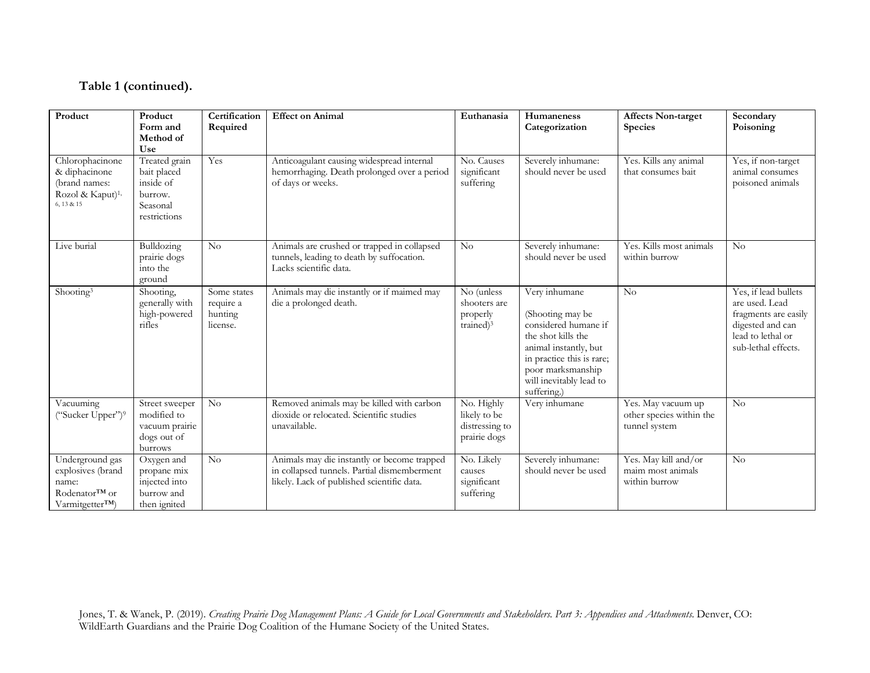#### **Table 1 (continued).**

| Product                                                                                         | Product<br>Form and<br>Method of<br>Use                                          | Certification<br>Required                       | <b>Effect on Animal</b>                                                                                                                  | Euthanasia                                                      | Humaneness<br>Categorization                                                                                                                                                                         | <b>Affects Non-target</b><br><b>Species</b>                     | Secondary<br>Poisoning                                                                                                         |
|-------------------------------------------------------------------------------------------------|----------------------------------------------------------------------------------|-------------------------------------------------|------------------------------------------------------------------------------------------------------------------------------------------|-----------------------------------------------------------------|------------------------------------------------------------------------------------------------------------------------------------------------------------------------------------------------------|-----------------------------------------------------------------|--------------------------------------------------------------------------------------------------------------------------------|
| Chlorophacinone<br>& diphacinone<br>(brand names:<br>Rozol & Kaput) <sup>1,</sup><br>6, 13 & 15 | Treated grain<br>bait placed<br>inside of<br>burrow.<br>Seasonal<br>restrictions | Yes                                             | Anticoagulant causing widespread internal<br>hemorrhaging. Death prolonged over a period<br>of days or weeks.                            | No. Causes<br>significant<br>suffering                          | Severely inhumane:<br>should never be used                                                                                                                                                           | Yes. Kills any animal<br>that consumes bait                     | Yes, if non-target<br>animal consumes<br>poisoned animals                                                                      |
| Live burial                                                                                     | Bulldozing<br>prairie dogs<br>into the<br>ground                                 | No                                              | Animals are crushed or trapped in collapsed<br>tunnels, leading to death by suffocation.<br>Lacks scientific data.                       | $\rm No$                                                        | Severely inhumane:<br>should never be used                                                                                                                                                           | Yes. Kills most animals<br>within burrow                        | No                                                                                                                             |
| Shooting <sup>3</sup>                                                                           | Shooting,<br>generally with<br>high-powered<br>rifles                            | Some states<br>require a<br>hunting<br>license. | Animals may die instantly or if maimed may<br>die a prolonged death.                                                                     | No (unless<br>shooters are<br>properly<br>trained) <sup>3</sup> | Very inhumane<br>(Shooting may be<br>considered humane if<br>the shot kills the<br>animal instantly, but<br>in practice this is rare;<br>poor marksmanship<br>will inevitably lead to<br>suffering.) | No                                                              | Yes, if lead bullets<br>are used. Lead<br>fragments are easily<br>digested and can<br>lead to lethal or<br>sub-lethal effects. |
| Vacuuming<br>("Sucker Upper") <sup>9</sup>                                                      | Street sweeper<br>modified to<br>vacuum prairie<br>dogs out of<br>burrows        | No                                              | Removed animals may be killed with carbon<br>dioxide or relocated. Scientific studies<br>unavailable.                                    | No. Highly<br>likely to be<br>distressing to<br>prairie dogs    | Very inhumane                                                                                                                                                                                        | Yes. May vacuum up<br>other species within the<br>tunnel system | No                                                                                                                             |
| Underground gas<br>explosives (brand<br>name:<br>Rodenator™ or<br>Varmitgetter <sup>TM</sup> )  | Oxygen and<br>propane mix<br>injected into<br>burrow and<br>then ignited         | No                                              | Animals may die instantly or become trapped<br>in collapsed tunnels. Partial dismemberment<br>likely. Lack of published scientific data. | No. Likely<br>causes<br>significant<br>suffering                | Severely inhumane:<br>should never be used                                                                                                                                                           | Yes. May kill and/or<br>maim most animals<br>within burrow      | $\rm No$                                                                                                                       |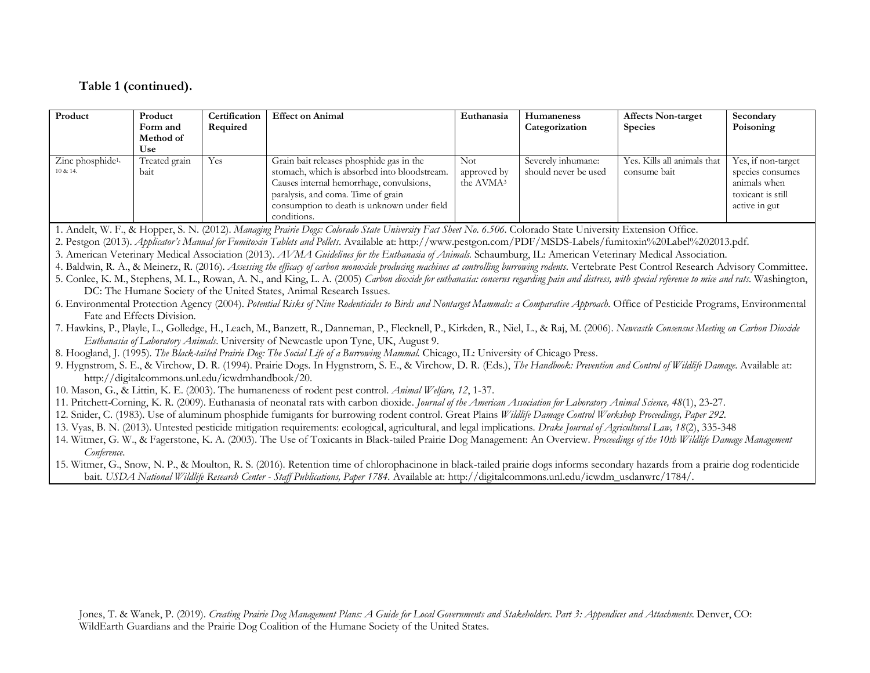#### **Table 1 (continued).**

| Product                                  | Product<br>Form and<br>Method of<br>Use | Certification<br>Required | <b>Effect on Animal</b>                                                                                                                                                                                                                  | Euthanasia                                  | <b>Humaneness</b><br>Categorization        | <b>Affects Non-target</b><br><b>Species</b> | Secondary<br>Poisoning                                                                       |
|------------------------------------------|-----------------------------------------|---------------------------|------------------------------------------------------------------------------------------------------------------------------------------------------------------------------------------------------------------------------------------|---------------------------------------------|--------------------------------------------|---------------------------------------------|----------------------------------------------------------------------------------------------|
| Zinc phosphide <sup>1,</sup><br>10 & 14. | Treated grain<br>bait                   | Yes                       | Grain bait releases phosphide gas in the<br>stomach, which is absorbed into bloodstream.<br>Causes internal hemorrhage, convulsions,<br>paralysis, and coma. Time of grain<br>consumption to death is unknown under field<br>conditions. | Not<br>approved by<br>the AVMA <sup>3</sup> | Severely inhumane:<br>should never be used | Yes. Kills all animals that<br>consume bait | Yes, if non-target<br>species consumes<br>animals when<br>toxicant is still<br>active in gut |

1. Andelt, W. F., & Hopper, S. N. (2012). *Managing Prairie Dogs: Colorado State University Fact Sheet No. 6.506.* Colorado State University Extension Office.

2. Pestgon (2013). *Applicator's Manual for Fumitoxin Tablets and Pellets*. Available at: http://www.pestgon.com/PDF/MSDS-Labels/fumitoxin%20Label%202013.pdf.

3. American Veterinary Medical Association (2013). *AVMA Guidelines for the Euthanasia of Animals.* Schaumburg, IL: American Veterinary Medical Association.

4. Baldwin, R. A., & Meinerz, R. (2016). *Assessing the efficacy of carbon monoxide producing machines at controlling burrowing rodents*. Vertebrate Pest Control Research Advisory Committee.

5. Conlee, K. M., Stephens, M. L., Rowan, A. N., and King, L. A. (2005) *Carbon dioxide for euthanasia: concerns regarding pain and distress, with special reference to mice and rats.* Washington, DC: The Humane Society of the United States, Animal Research Issues.

6. Environmental Protection Agency (2004). *Potential Risks of Nine Rodenticides to Birds and Nontarget Mammals: a Comparative Approach.* Office of Pesticide Programs, Environmental Fate and Effects Division.

7. Hawkins, P., Playle, L., Golledge, H., Leach, M., Banzett, R., Danneman, P., Flecknell, P., Kirkden, R., Niel, L., & Raj, M. (2006). *Newcastle Consensus Meeting on Carbon Dioxide Euthanasia of Laboratory Animals*. University of Newcastle upon Tyne, UK, August 9.

8. Hoogland, J. (1995). *The Black-tailed Prairie Dog: The Social Life of a Burrowing Mammal.* Chicago, IL: University of Chicago Press.

9. Hygnstrom, S. E., & Virchow, D. R. (1994). Prairie Dogs. In Hygnstrom, S. E., & Virchow, D. R. (Eds.), *The Handbook: Prevention and Control of Wildlife Damage*. Available at: http://digitalcommons.unl.edu/icwdmhandbook/20.

10. Mason, G., & Littin, K. E. (2003). The humaneness of rodent pest control. *Animal Welfare, 12*, 1-37.

11. Pritchett-Corning, K. R. (2009). Euthanasia of neonatal rats with carbon dioxide. *Journal of the American Association for Laboratory Animal Science, 48*(1), 23-27.

12. Snider, C. (1983). Use of aluminum phosphide fumigants for burrowing rodent control. Great Plains *Wildlife Damage Control Workshop Proceedings, Paper 292.*

13. Vyas, B. N. (2013). Untested pesticide mitigation requirements: ecological, agricultural, and legal implications. *Drake Journal of Agricultural Law, 18*(2), 335-348

14. Witmer, G. W., & Fagerstone, K. A. (2003). The Use of Toxicants in Black-tailed Prairie Dog Management: An Overview. *Proceedings of the 10th Wildlife Damage Management Conference*.

<sup>15.</sup> Witmer, G., Snow, N. P., & Moulton, R. S. (2016). Retention time of chlorophacinone in black-tailed prairie dogs informs secondary hazards from a prairie dog rodenticide bait. *USDA National Wildlife Research Center - Staff Publications, Paper 1784.* Available at: http://digitalcommons.unl.edu/icwdm\_usdanwrc/1784/.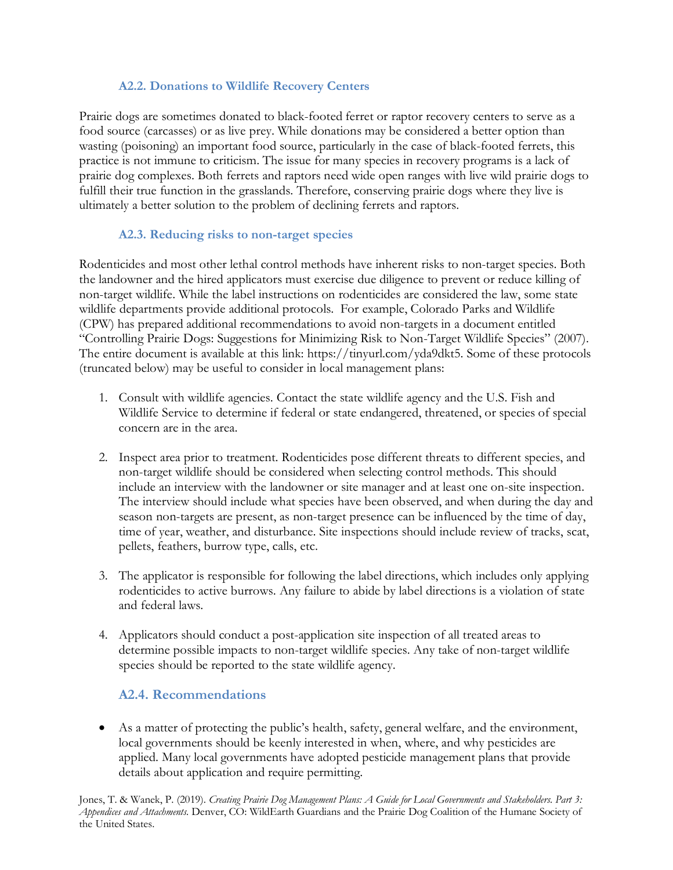#### **A2.2. Donations to Wildlife Recovery Centers**

Prairie dogs are sometimes donated to black-footed ferret or raptor recovery centers to serve as a food source (carcasses) or as live prey. While donations may be considered a better option than wasting (poisoning) an important food source, particularly in the case of black-footed ferrets, this practice is not immune to criticism. The issue for many species in recovery programs is a lack of prairie dog complexes. Both ferrets and raptors need wide open ranges with live wild prairie dogs to fulfill their true function in the grasslands. Therefore, conserving prairie dogs where they live is ultimately a better solution to the problem of declining ferrets and raptors.

#### **A2.3. Reducing risks to non-target species**

Rodenticides and most other lethal control methods have inherent risks to non-target species. Both the landowner and the hired applicators must exercise due diligence to prevent or reduce killing of non-target wildlife. While the label instructions on rodenticides are considered the law, some state wildlife departments provide additional protocols. For example, Colorado Parks and Wildlife (CPW) has prepared additional recommendations to avoid non-targets in a document entitled "Controlling Prairie Dogs: Suggestions for Minimizing Risk to Non-Target Wildlife Species" (2007). The entire document is available at this link: https://tinyurl.com/yda9dkt5. Some of these protocols (truncated below) may be useful to consider in local management plans:

- 1. Consult with wildlife agencies. Contact the state wildlife agency and the U.S. Fish and Wildlife Service to determine if federal or state endangered, threatened, or species of special concern are in the area.
- 2. Inspect area prior to treatment. Rodenticides pose different threats to different species, and non-target wildlife should be considered when selecting control methods. This should include an interview with the landowner or site manager and at least one on-site inspection. The interview should include what species have been observed, and when during the day and season non-targets are present, as non-target presence can be influenced by the time of day, time of year, weather, and disturbance. Site inspections should include review of tracks, scat, pellets, feathers, burrow type, calls, etc.
- 3. The applicator is responsible for following the label directions, which includes only applying rodenticides to active burrows. Any failure to abide by label directions is a violation of state and federal laws.
- 4. Applicators should conduct a post-application site inspection of all treated areas to determine possible impacts to non-target wildlife species. Any take of non-target wildlife species should be reported to the state wildlife agency.

## **A2.4. Recommendations**

• As a matter of protecting the public's health, safety, general welfare, and the environment, local governments should be keenly interested in when, where, and why pesticides are applied. Many local governments have adopted pesticide management plans that provide details about application and require permitting.

Jones, T. & Wanek, P. (2019). *Creating Prairie Dog Management Plans: A Guide for Local Governments and Stakeholders. Part 3: Appendices and Attachments.* Denver, CO: WildEarth Guardians and the Prairie Dog Coalition of the Humane Society of the United States.